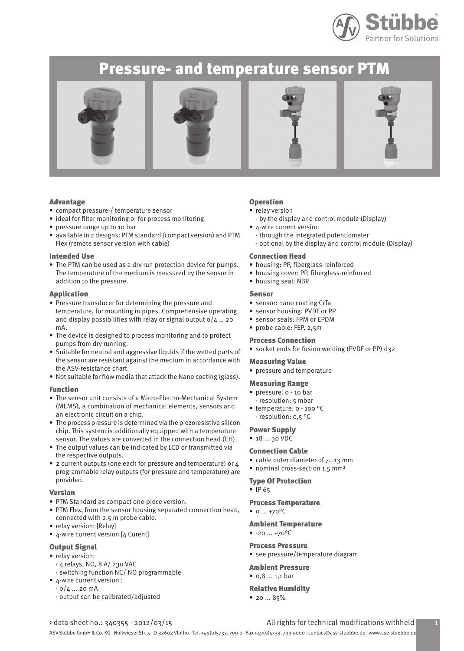

# Pressure- and temperature sensor PTM









### Advantage

- compact pressure-/ temperature sensor
- ideal for filter monitoring or for process monitoring
- pressure range up to 10 bar
- available in 2 designs: PTM standard (compact version) and PTM Flex (remote sensor version with cable)

#### Intended Use

• The PTM can be used as a dry run protection device for pumps. The temperature of the medium is measured by the sensor in addition to the pressure.

#### Application

- Pressure transducer for determining the pressure and temperature, for mounting in pipes. Comprehensive operating and display possibilities with relay or signal output  $0/4$  ... 20 mA.
- The device is designed to process monitoring and to protect pumps from dry running.
- Suitable for neutral and aggressive liquids if the wetted parts of the sensor are resistant against the medium in accordance with the ASV-resistance chart.
- Not suitable for flow media that attack the Nano coating (glass).

#### Function

- The sensor unit consists of a Micro-Electro-Mechanical System (MEMS), a combination of mechanical elements, sensors and an electronic circuit on a chip.
- The process pressure is determined via the piezoresistive silicon chip. This system is additionally equipped with a temperature sensor. The values are converted in the connection head (CH).
- The output values can be indicated by LCD or transmitted via the respective outputs.
- 2 current outputs (one each for pressure and temperature) or 4 programmable relay outputs (for pressure and temperature) are provided.

# Version

- PTM Standard as compact one-piece version.
- PTM Flex, from the sensor housing separated connection head, connected with 2.5 m probe cable.
- relay version: [Relay]
- 4-wire current version [4 Curent]

# Output Signal

- relay version:
- · 4 relays, NO, 8 A/ 230 VAC
- · switching function NC/ NO programmable • 4-wire current version :
- $\cdot$  0/4 ... 20 mA
- · output can be calibrated/adjusted

### Operation

- relay version
- · by the display and control module (Display)
- 4-wire current version
- · through the integrated potentiometer
- · optional by the display and control module (Display)

# Connection Head

- housing: PP, fiberglass-reinforced
- housing cover: PP, fiberglass-reinforced
- housing seal: NBR

#### Sensor

- sensor: nano coating CrTa
- sensor housing: PVDF or PP
- sensor seals: FPM or EPDM
- probe cable: FEP, 2,5m

## Process Connection

• socket ends for fusion welding (PVDF or PP) d32

#### Measuring Value

• pressure and temperature

#### Measuring Range

- pressure: 0 10 bar · resolution: 5 mbar
- temperature: 0 100 °C · resolution: 0,5 °C

#### Power Supply

• 18 ... 30 VDC

#### Connection Cable

- cable outer diameter of 7...13 mm
- nominal cross-section 1.5 mm<sup>2</sup>

#### Type Of Protection

• IP 65

## Process Temperature

• 0 ... +70°C

### Ambient Temperature

•  $-20...+70$ <sup>o</sup>C

#### Process Pressure

• see pressure/temperature diagram

# Ambient Pressure

•  $0.8 ... 1.1$  bar

# Relative Humidity

• 20 ... 85%

## > data sheet no.: 340355 - 2012/03/15 All rights for technical modifications withheld 1

ASV Stübbe GmbH & Co. KG · Hollwieser Str. 5 · D-32602 Vlotho · Tel. +49(0)5733. 799-0 · Fax +49(0)5733. 799-5000 · contact@asv-stuebbe.de · www.asv-stuebbe.de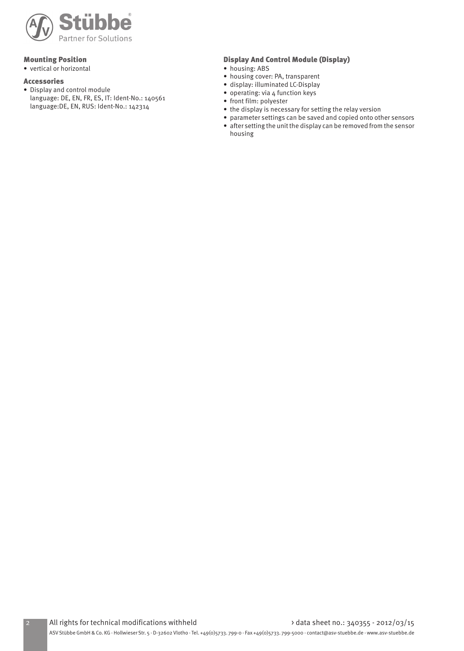

# Mounting Position

• vertical or horizontal

### Accessories

• Display and control module language: DE, EN, FR, ES, IT: Ident-No.: 140561 language:DE, EN, RUS: Ident-No.: 142314

# Display And Control Module (Display)

- housing: ABS
- housing cover: PA, transparent
- display: illuminated LC-Display
- operating: via 4 function keys
- front film: polyester
- the display is necessary for setting the relay version
- parameter settings can be saved and copied onto other sensors • after setting the unit the display can be removed from the sensor
	- housing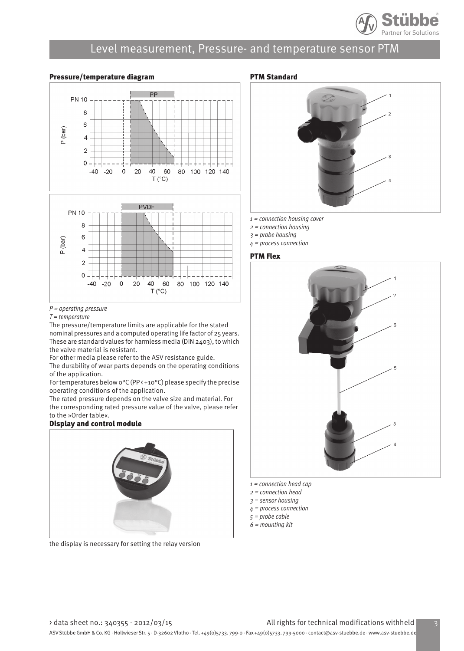

## Pressure/temperature diagram



 $P =$  operating pressure

 $T = temperature$ 

The pressure/temperature limits are applicable for the stated nominal pressures and a computed operating life factor of 25 years. These are standard values for harmless media (DIN 2403), to which the valve material is resistant.

For other media please refer to the ASV resistance guide.

The durability of wear parts depends on the operating conditions of the application.

For temperatures below 0°C (PP < +10°C) please specify the precise operating conditions of the application.

The rated pressure depends on the valve size and material. For the corresponding rated pressure value of the valve, please refer to the »Order table«.

## Display and control module



the display is necessary for setting the relay version

# PTM Standard



- $1 =$  connection housing cover
- 2 = connection housing
- $3$  = probe housing
- 4 = process connection

### PTM Flex



- 2 = connection head
- $3$  = sensor housing
- 4 = process connection
- 5 = probe cable
- $6 =$  mounting kit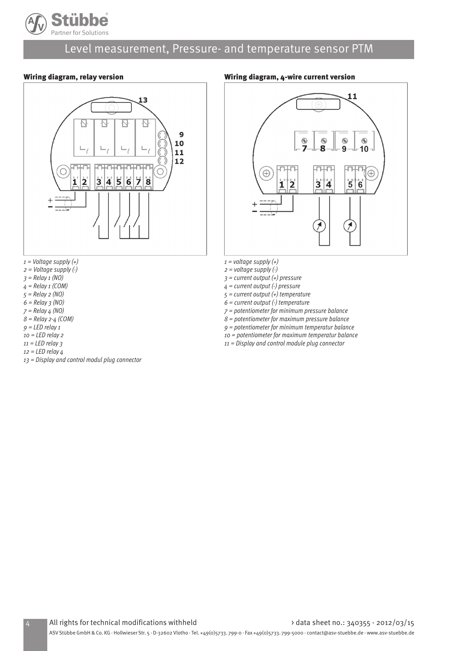

# Wiring diagram, relay version



- $1 =$  Voltage supply  $(+)$
- $2 =$  Voltage supply  $\left(\cdot\right)$
- $3 =$  Relay 1 (NO)
- $4$  = Relay 1 (COM)
- 5 = Relay 2 (NO)
- $6 =$  Relay  $3 (NO)$
- $7 =$  Relay  $4$  (NO)  $8 =$  Relay 2-4 (COM)
- $9 = LED$  relay 1
- $10$  = LED relay 2
- $11$  = LED relay 3
- $12$  = LED relay  $4$
- 13 = Display and control modul plug connector

# Wiring diagram, 4-wire current version



- $1 =$  voltage supply  $(+)$
- $2 =$  voltage supply  $(\cdot)$
- $3$  = current output (+) pressure
- $4$  = current output (-) pressure
- $5$  = current output (+) temperature
- $6$  = current output (-) temperature
- 7 = potentiometer for minimum pressure balance
- $8$  = potentiometer for maximum pressure balance
- 9 = potentiometer for minimum temperatur balance
- 10 = potentiometer for maximum temperatur balance
- 11 = Display and control module plug connector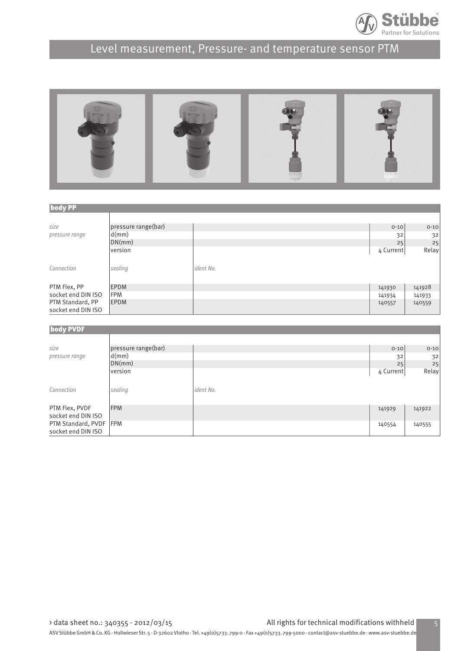



| <b>body PP</b>     |                     |           |           |          |  |  |
|--------------------|---------------------|-----------|-----------|----------|--|--|
|                    |                     |           |           |          |  |  |
| size               | pressure range(bar) |           | $0 - 10$  | $0 - 10$ |  |  |
| pressure range     | d(mm)               |           | 32        | 32       |  |  |
|                    | DN(mm)              |           | 25        | 25       |  |  |
|                    | version             |           | 4 Current | Relay    |  |  |
|                    |                     |           |           |          |  |  |
| Connection         | sealing             | ident No. |           |          |  |  |
|                    |                     |           |           |          |  |  |
| PTM Flex, PP       | <b>EPDM</b>         |           | 141930    | 141928   |  |  |
| socket end DIN ISO | FPM                 |           | 141934    | 141933   |  |  |
| PTM Standard, PP   | <b>EPDM</b>         |           | 140557    | 140559   |  |  |
| socket end DIN ISO |                     |           |           |          |  |  |
|                    |                     |           |           |          |  |  |
| body PVDF          |                     |           |           |          |  |  |
|                    |                     |           |           |          |  |  |
| size               | pressure range(bar) |           | $0 - 10$  | $0 - 10$ |  |  |
| pressure range     | d(mm)               |           | 32        | 32       |  |  |
|                    | DN(mm)              |           | 25        | 25       |  |  |
|                    | version             |           | 4 Current | Relay    |  |  |
|                    |                     |           |           |          |  |  |
| Connection         | sealing             | ident No. |           |          |  |  |
|                    |                     |           |           |          |  |  |

PTM Flex, PVDF FPM FPM FREE FOR THE FEW SERVICES IN THE SERVICE SERVICES IN THE SERVICE SERVICE SERVICES IN THE SERVICE SERVICES IN THE SERVICE SERVICES IN THE SERVICE SERVICES IN THE SERVICE SERVICE SERVICES IN THE SERVIC

PTM Standard, PVDF FPM 140555

socket end DIN ISO

socket end DIN ISO